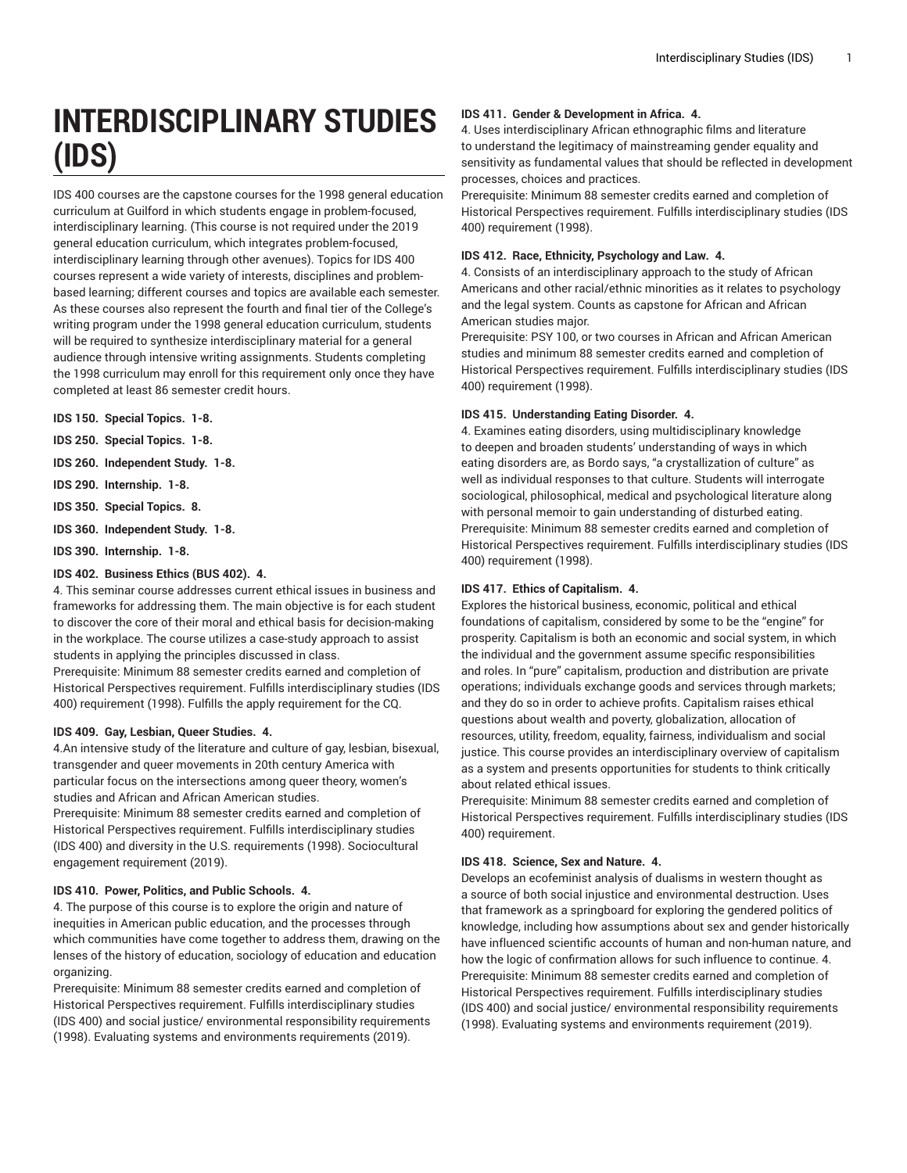# **INTERDISCIPLINARY STUDIES (IDS)**

IDS 400 courses are the capstone courses for the 1998 general education curriculum at Guilford in which students engage in problem-focused, interdisciplinary learning. (This course is not required under the 2019 general education curriculum, which integrates problem-focused, interdisciplinary learning through other avenues). Topics for IDS 400 courses represent a wide variety of interests, disciplines and problembased learning; different courses and topics are available each semester. As these courses also represent the fourth and final tier of the College's writing program under the 1998 general education curriculum, students will be required to synthesize interdisciplinary material for a general audience through intensive writing assignments. Students completing the 1998 curriculum may enroll for this requirement only once they have completed at least 86 semester credit hours.

**IDS 150. Special Topics. 1-8.**

**IDS 250. Special Topics. 1-8.**

**IDS 260. Independent Study. 1-8.**

**IDS 290. Internship. 1-8.**

**IDS 350. Special Topics. 8.**

**IDS 360. Independent Study. 1-8.**

**IDS 390. Internship. 1-8.**

#### **IDS 402. Business Ethics (BUS 402). 4.**

4. This seminar course addresses current ethical issues in business and frameworks for addressing them. The main objective is for each student to discover the core of their moral and ethical basis for decision-making in the workplace. The course utilizes a case-study approach to assist students in applying the principles discussed in class.

Prerequisite: Minimum 88 semester credits earned and completion of Historical Perspectives requirement. Fulfills interdisciplinary studies (IDS 400) requirement (1998). Fulfills the apply requirement for the CQ.

# **IDS 409. Gay, Lesbian, Queer Studies. 4.**

4.An intensive study of the literature and culture of gay, lesbian, bisexual, transgender and queer movements in 20th century America with particular focus on the intersections among queer theory, women's studies and African and African American studies.

Prerequisite: Minimum 88 semester credits earned and completion of Historical Perspectives requirement. Fulfills interdisciplinary studies (IDS 400) and diversity in the U.S. requirements (1998). Sociocultural engagement requirement (2019).

#### **IDS 410. Power, Politics, and Public Schools. 4.**

4. The purpose of this course is to explore the origin and nature of inequities in American public education, and the processes through which communities have come together to address them, drawing on the lenses of the history of education, sociology of education and education organizing.

Prerequisite: Minimum 88 semester credits earned and completion of Historical Perspectives requirement. Fulfills interdisciplinary studies (IDS 400) and social justice/ environmental responsibility requirements (1998). Evaluating systems and environments requirements (2019).

## **IDS 411. Gender & Development in Africa. 4.**

4. Uses interdisciplinary African ethnographic films and literature to understand the legitimacy of mainstreaming gender equality and sensitivity as fundamental values that should be reflected in development processes, choices and practices.

Prerequisite: Minimum 88 semester credits earned and completion of Historical Perspectives requirement. Fulfills interdisciplinary studies (IDS 400) requirement (1998).

## **IDS 412. Race, Ethnicity, Psychology and Law. 4.**

4. Consists of an interdisciplinary approach to the study of African Americans and other racial/ethnic minorities as it relates to psychology and the legal system. Counts as capstone for African and African American studies major.

Prerequisite: PSY 100, or two courses in African and African American studies and minimum 88 semester credits earned and completion of Historical Perspectives requirement. Fulfills interdisciplinary studies (IDS 400) requirement (1998).

## **IDS 415. Understanding Eating Disorder. 4.**

4. Examines eating disorders, using multidisciplinary knowledge to deepen and broaden students' understanding of ways in which eating disorders are, as Bordo says, "a crystallization of culture" as well as individual responses to that culture. Students will interrogate sociological, philosophical, medical and psychological literature along with personal memoir to gain understanding of disturbed eating. Prerequisite: Minimum 88 semester credits earned and completion of Historical Perspectives requirement. Fulfills interdisciplinary studies (IDS 400) requirement (1998).

#### **IDS 417. Ethics of Capitalism. 4.**

Explores the historical business, economic, political and ethical foundations of capitalism, considered by some to be the "engine" for prosperity. Capitalism is both an economic and social system, in which the individual and the government assume specific responsibilities and roles. In "pure" capitalism, production and distribution are private operations; individuals exchange goods and services through markets; and they do so in order to achieve profits. Capitalism raises ethical questions about wealth and poverty, globalization, allocation of resources, utility, freedom, equality, fairness, individualism and social justice. This course provides an interdisciplinary overview of capitalism as a system and presents opportunities for students to think critically about related ethical issues.

Prerequisite: Minimum 88 semester credits earned and completion of Historical Perspectives requirement. Fulfills interdisciplinary studies (IDS 400) requirement.

# **IDS 418. Science, Sex and Nature. 4.**

Develops an ecofeminist analysis of dualisms in western thought as a source of both social injustice and environmental destruction. Uses that framework as a springboard for exploring the gendered politics of knowledge, including how assumptions about sex and gender historically have influenced scientific accounts of human and non-human nature, and how the logic of confirmation allows for such influence to continue. 4. Prerequisite: Minimum 88 semester credits earned and completion of Historical Perspectives requirement. Fulfills interdisciplinary studies (IDS 400) and social justice/ environmental responsibility requirements (1998). Evaluating systems and environments requirement (2019).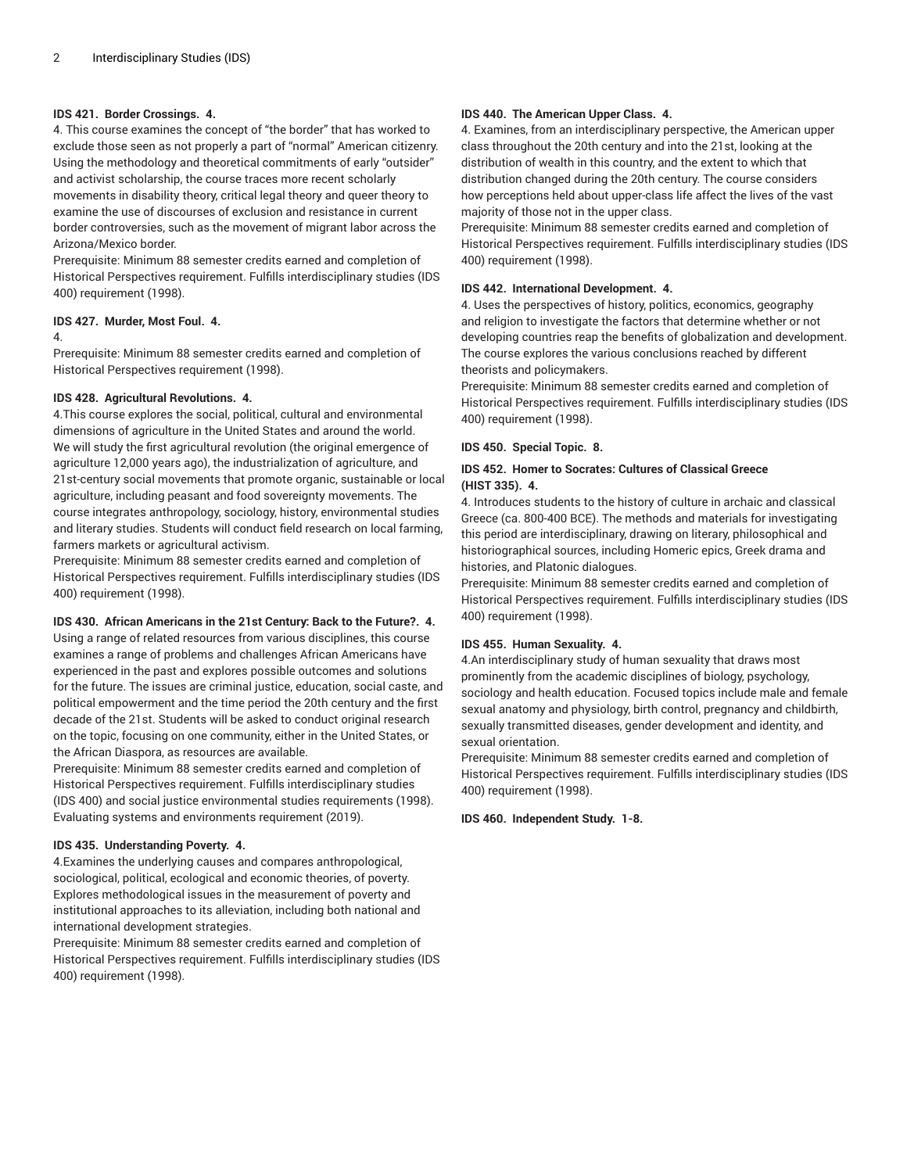## **IDS 421. Border Crossings. 4.**

4. This course examines the concept of "the border" that has worked to exclude those seen as not properly a part of "normal" American citizenry. Using the methodology and theoretical commitments of early "outsider" and activist scholarship, the course traces more recent scholarly movements in disability theory, critical legal theory and queer theory to examine the use of discourses of exclusion and resistance in current border controversies, such as the movement of migrant labor across the Arizona/Mexico border.

Prerequisite: Minimum 88 semester credits earned and completion of Historical Perspectives requirement. Fulfills interdisciplinary studies (IDS 400) requirement (1998).

## **IDS 427. Murder, Most Foul. 4.**

#### 4.

Prerequisite: Minimum 88 semester credits earned and completion of Historical Perspectives requirement (1998).

## **IDS 428. Agricultural Revolutions. 4.**

4.This course explores the social, political, cultural and environmental dimensions of agriculture in the United States and around the world. We will study the first agricultural revolution (the original emergence of agriculture 12,000 years ago), the industrialization of agriculture, and 21st-century social movements that promote organic, sustainable or local agriculture, including peasant and food sovereignty movements. The course integrates anthropology, sociology, history, environmental studies and literary studies. Students will conduct field research on local farming, farmers markets or agricultural activism.

Prerequisite: Minimum 88 semester credits earned and completion of Historical Perspectives requirement. Fulfills interdisciplinary studies (IDS 400) requirement (1998).

#### **IDS 430. African Americans in the 21st Century: Back to the Future?. 4.**

Using a range of related resources from various disciplines, this course examines a range of problems and challenges African Americans have experienced in the past and explores possible outcomes and solutions for the future. The issues are criminal justice, education, social caste, and political empowerment and the time period the 20th century and the first decade of the 21st. Students will be asked to conduct original research on the topic, focusing on one community, either in the United States, or the African Diaspora, as resources are available.

Prerequisite: Minimum 88 semester credits earned and completion of Historical Perspectives requirement. Fulfills interdisciplinary studies (IDS 400) and social justice environmental studies requirements (1998). Evaluating systems and environments requirement (2019).

# **IDS 435. Understanding Poverty. 4.**

4.Examines the underlying causes and compares anthropological, sociological, political, ecological and economic theories, of poverty. Explores methodological issues in the measurement of poverty and institutional approaches to its alleviation, including both national and international development strategies.

Prerequisite: Minimum 88 semester credits earned and completion of Historical Perspectives requirement. Fulfills interdisciplinary studies (IDS 400) requirement (1998).

# **IDS 440. The American Upper Class. 4.**

4. Examines, from an interdisciplinary perspective, the American upper class throughout the 20th century and into the 21st, looking at the distribution of wealth in this country, and the extent to which that distribution changed during the 20th century. The course considers how perceptions held about upper-class life affect the lives of the vast majority of those not in the upper class.

Prerequisite: Minimum 88 semester credits earned and completion of Historical Perspectives requirement. Fulfills interdisciplinary studies (IDS 400) requirement (1998).

## **IDS 442. International Development. 4.**

4. Uses the perspectives of history, politics, economics, geography and religion to investigate the factors that determine whether or not developing countries reap the benefits of globalization and development. The course explores the various conclusions reached by different theorists and policymakers.

Prerequisite: Minimum 88 semester credits earned and completion of Historical Perspectives requirement. Fulfills interdisciplinary studies (IDS 400) requirement (1998).

## **IDS 450. Special Topic. 8.**

## **IDS 452. Homer to Socrates: Cultures of Classical Greece (HIST 335). 4.**

4. Introduces students to the history of culture in archaic and classical Greece (ca. 800-400 BCE). The methods and materials for investigating this period are interdisciplinary, drawing on literary, philosophical and historiographical sources, including Homeric epics, Greek drama and histories, and Platonic dialogues.

Prerequisite: Minimum 88 semester credits earned and completion of Historical Perspectives requirement. Fulfills interdisciplinary studies (IDS 400) requirement (1998).

## **IDS 455. Human Sexuality. 4.**

4.An interdisciplinary study of human sexuality that draws most prominently from the academic disciplines of biology, psychology, sociology and health education. Focused topics include male and female sexual anatomy and physiology, birth control, pregnancy and childbirth, sexually transmitted diseases, gender development and identity, and sexual orientation.

Prerequisite: Minimum 88 semester credits earned and completion of Historical Perspectives requirement. Fulfills interdisciplinary studies (IDS 400) requirement (1998).

**IDS 460. Independent Study. 1-8.**